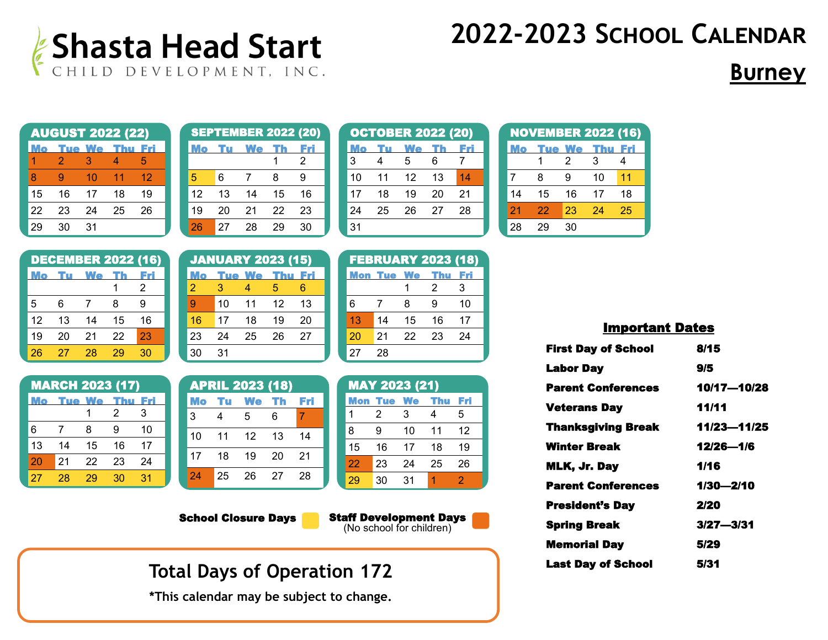

## **Burney**

|    | <b>AUGUST 2022 (22)</b> |    |                   |       |
|----|-------------------------|----|-------------------|-------|
|    |                         |    | <b>Tue We Thu</b> | - Fri |
|    | 2                       | З  | 4                 | 5     |
| 8  | g                       | 10 | 11                | 12    |
| 15 | 16                      | 17 | 18                | 19    |
| 22 | 23                      | 24 | 25                | 26    |
|    | 30                      | 31 |                   |       |

|    |    | <b>SEPTEMBER 2022 (20)</b> |    |    |
|----|----|----------------------------|----|----|
|    |    | We                         |    |    |
|    |    |                            |    | 2  |
| 5  | 6  | 7                          | 8  | 9  |
| 12 | 13 | 14                         | 15 | 16 |
| 19 | 20 | 21                         | 22 | 23 |
| 26 | 27 | 28                         |    | 30 |

|    |    | <b>OCTOBER 2022 (20)</b> |    |    |
|----|----|--------------------------|----|----|
|    |    | We                       |    |    |
| 3  | 4  | 5                        | 6  | 7  |
| 10 | 11 | 12                       | 13 | 14 |
| 17 | 18 | 19                       | 20 | 21 |
| 24 | 25 | 26                       | 27 | 28 |
| 31 |    |                          |    |    |

|    |    |       |     | <b>NOVEMBER 2022 (16)</b> |
|----|----|-------|-----|---------------------------|
|    |    | ue We | Thu | EM                        |
|    |    | 2     | З   |                           |
| 7  | 8  | 9     | 10  | 11                        |
| 14 | 15 | 16    | 17  | 18                        |
| 21 | 22 | 23    | 24  | 25                        |
| 28 |    |       |     |                           |

|    |    | <b>DECEMBER 2022 (16)</b> |    |    |
|----|----|---------------------------|----|----|
|    |    | We                        |    |    |
|    |    |                           |    | 2  |
| 5  | 6  | 7                         | 8  | g  |
| 12 | 13 | 14                        | 15 | 16 |
| 19 | 20 | 21                        | 22 | 23 |
| 26 | 27 | 28                        | 29 | 30 |

| <b>MARCH 2023 (17)</b> |    |                   |    |       |  |  |
|------------------------|----|-------------------|----|-------|--|--|
| Мо                     |    | <b>Tue We Thu</b> |    | - Fri |  |  |
|                        |    |                   | 2  | 3     |  |  |
| 6                      | 7  | 8                 | g  | 10    |  |  |
| 13                     | 14 | 15                | 16 | 17    |  |  |
| 20                     | 21 | 22                | 23 | 24    |  |  |
| 27                     | 28 | 29                | 30 | 31    |  |  |

|    | <b>JANUARY 2023 (15)</b> |                   |    |       |
|----|--------------------------|-------------------|----|-------|
|    |                          | <b>Tue We Thu</b> |    | - Fri |
| 2  | З                        | Δ                 | 5  | 6     |
| g  | 10                       | 11                | 12 | 13    |
| 16 | 17                       | 18                | 19 | 20    |
| 23 | 24                       | 25                | 26 | 27    |
| 30 | 31                       |                   |    |       |

|    |    | <b>APRIL 2023 (18)</b> |      |     |
|----|----|------------------------|------|-----|
|    |    | Mo Tu We Th Fri        |      |     |
| 3  | 4  | 5                      | 6    | 4   |
| 10 | 11 | 12                     | - 13 | 14  |
| 17 | 18 | 19                     | - 20 | -21 |
| 24 | 25 | 26                     | - 27 | -28 |

| <b>FEBRUARY 2023 (18)</b> |                   |    |            |     |  |  |
|---------------------------|-------------------|----|------------|-----|--|--|
|                           | <b>Mon Tue We</b> |    | <b>Thu</b> | Fri |  |  |
|                           |                   |    | 2          | З   |  |  |
| 6                         | 7                 | 8  | я          | 10  |  |  |
| 13                        | 14                | 15 | 16         | 17  |  |  |
| 20                        | 21                | 22 | 23         | 24  |  |  |
| 27                        | 28                |    |            |     |  |  |

|     | <b>MAY 2023 (21)</b> |    |     |     |
|-----|----------------------|----|-----|-----|
| Mon | <b>Tue</b>           | We | Thu | Fri |
| 1   | 2                    | 3  | 4   | 5   |
| 8   | я                    | 10 | 11  | 12  |
| 15  | 16                   | 17 | 18  | 19  |
| 22  | 23                   | 24 | 25  | 26  |
| 29  | 30                   | 31 |     | 2   |

School Closure Days

Staff Development Days (No school for children)

**Total Days of Operation 172**

**\*This calendar may be subject to change.** 

| <b>First Day of School</b> | 8/15          |
|----------------------------|---------------|
| <b>Labor Day</b>           | 9/5           |
| <b>Parent Conferences</b>  | 10/17-10/28   |
| <b>Veterans Day</b>        | 11/11         |
| <b>Thanksgiving Break</b>  | 11/23-11/25   |
| Winter Break               | 12/26-1/6     |
| MLK, Jr. Day               | 1/16          |
| <b>Parent Conferences</b>  | 1/30-2/10     |
| <b>President's Day</b>     | 2/20          |
| <b>Spring Break</b>        | $3/27 - 3/31$ |
| <b>Memorial Day</b>        | 5/29          |
| <b>Last Day of School</b>  | 5/31          |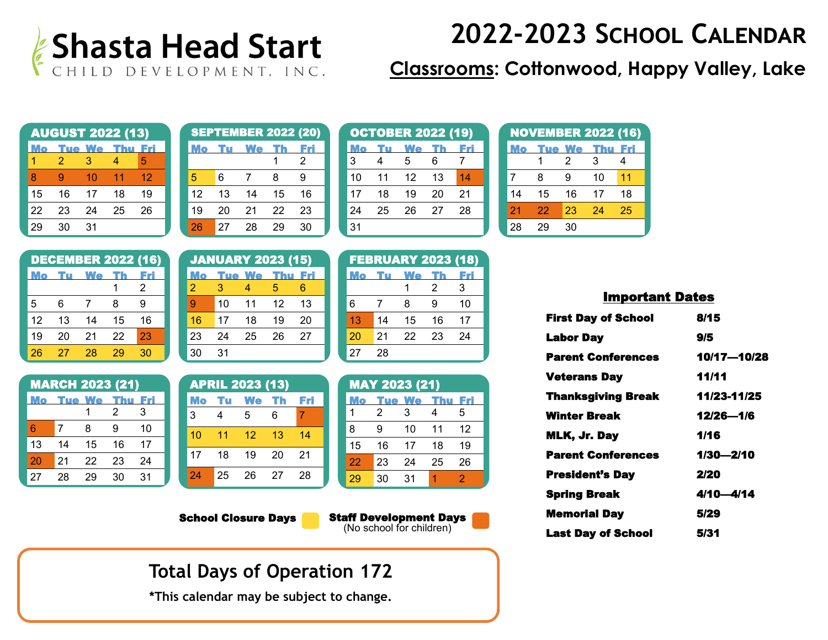

### **Classrooms: Cottonwood, Happy Valley, Lake**

|    | <b>AUGUST 2022 (13)</b> |            |    |     |
|----|-------------------------|------------|----|-----|
|    |                         | Tue We Thu |    | Fri |
|    | 2                       | 3          |    | 5   |
| 8  | g                       | 10         | 11 | 12  |
| 15 | 16                      | 17         | 18 | 19  |
| 22 | 23                      | 24         | 25 | 26  |
|    | 30                      | 31         |    |     |

|    |    | <b>SEPTEMBER 2022 (20)</b> |    |    |
|----|----|----------------------------|----|----|
|    |    | <b>We</b>                  |    |    |
|    |    |                            |    | 2  |
| 5  | 6  | 7                          | 8  | 9  |
| 12 | 13 | 14                         | 15 | 16 |
| 19 | 20 | 21                         | 22 | 23 |
| 26 | 27 | 28                         | 29 | 30 |

|    |    | <b>OCTOBER 2022 (19)</b> |    |      |
|----|----|--------------------------|----|------|
|    |    | We                       |    | F 71 |
| 3  | 4  | 5                        | 6  | 7    |
| 10 | 11 | 12                       | 13 | 14   |
| 17 | 18 | 19                       | 20 | 21   |
| 24 | 25 | 26                       | 27 | 28   |
| 31 |    |                          |    |      |

|                | <b>NOVEMBER 2022 (16)</b> |               |            |     |
|----------------|---------------------------|---------------|------------|-----|
|                |                           | <b>Tue We</b> | <b>Thu</b> | Fri |
|                |                           | 2             | 3          |     |
| $\overline{7}$ | 8                         | g             | 10         | 11  |
| 14             | 15                        | 16            | 17         | 18  |
| 21             | 22                        | 23            | 24         | 25  |
| 28             | 29                        | 30            |            |     |

| <b>DECEMBER 2022 (16)</b> |    |    |    |    |  |  |
|---------------------------|----|----|----|----|--|--|
|                           |    | We |    |    |  |  |
|                           |    |    |    | 2  |  |  |
| 5                         | 6  | 7  | 8  | 9  |  |  |
| 12                        | 13 | 14 | 15 | 16 |  |  |
| 19                        | 20 | 21 | 22 | 23 |  |  |
| 26                        | 27 | 28 | 20 | 30 |  |  |

| <b>MARCH 2023 (21)</b> |    |                   |    |     |  |
|------------------------|----|-------------------|----|-----|--|
| Mo                     |    | <b>Tue We Thu</b> |    | Fri |  |
|                        |    |                   | 2  | З   |  |
| 6                      | 7  | 8                 | Й  | 10  |  |
| 13                     | 14 | 15                | 16 | 17  |  |
| 20                     | 21 | 22                | 23 | 24  |  |
| 27                     | 28 |                   | 30 | 31  |  |

|    | <b>JANUARY 2023 (15)</b> |    |                       |    |
|----|--------------------------|----|-----------------------|----|
|    |                          |    | <b>Tue We Thu Fri</b> |    |
| 2  | З                        | 4  | 5                     |    |
| 9  | 10                       | 11 | 12 <sup>°</sup>       | 13 |
| 16 | 17                       | 18 | 19                    | 20 |
| 23 | 24                       | 25 | 26                    | 27 |
| 30 | 31                       |    |                       |    |

| <b>APRIL 2023 (13)</b> |    |                 |     |    |  |  |
|------------------------|----|-----------------|-----|----|--|--|
|                        |    | Mo Tu We Th Fri |     |    |  |  |
| 3                      | 4  | -5              | 6   | 7  |  |  |
| 10                     | 11 | $-12$           | 13  | 14 |  |  |
| 17                     | 18 | -19             | 20  | 21 |  |  |
| 24                     | 25 | -26             | -27 | 28 |  |  |

| <b>FEBRUARY 2023 (18)</b> |    |    |    |    |  |
|---------------------------|----|----|----|----|--|
|                           | TT | We | Th |    |  |
|                           |    |    | 2  | 3  |  |
| 6                         | 7  | 8  | 9  | 10 |  |
| 13                        | 14 | 15 | 16 | 17 |  |
| 20                        | 21 | 22 | 23 | 24 |  |
| 27                        | 28 |    |    |    |  |

| <b>MAY 2023 (21)</b> |    |        |       |     |  |  |
|----------------------|----|--------|-------|-----|--|--|
|                      |    | 'ue We | r kun | Fri |  |  |
|                      | 2  | 3      | 4     | 5   |  |  |
| 8                    | 9  | 10     | 11    | 12  |  |  |
| 15                   | 16 | 17     | 18    | 19  |  |  |
| 22                   | 23 | 24     | 25    | 26  |  |  |
| 29                   | 30 | 31     |       | 2   |  |  |

School Closure Days



(No school for children)

### **Total Days of Operation 172**

**\*This calendar may be subject to change.** 

| <b>First Day of School</b> | 8/15        |
|----------------------------|-------------|
| Labor Day                  | 9/5         |
| <b>Parent Conferences</b>  | 10/17-10/28 |
| <b>Veterans Day</b>        | 11/11       |
| <b>Thanksgiving Break</b>  | 11/23-11/25 |
| <b>Winter Break</b>        | 12/26-1/6   |
| <b>MLK, Jr. Day</b>        | 1/16        |
| <b>Parent Conferences</b>  | 1/30-2/10   |
| <b>President's Day</b>     | 2/20        |
| <b>Spring Break</b>        | 4/10—4/14   |
| <b>Memorial Day</b>        | 5/29        |
| <b>Last Day of School</b>  | 5/31        |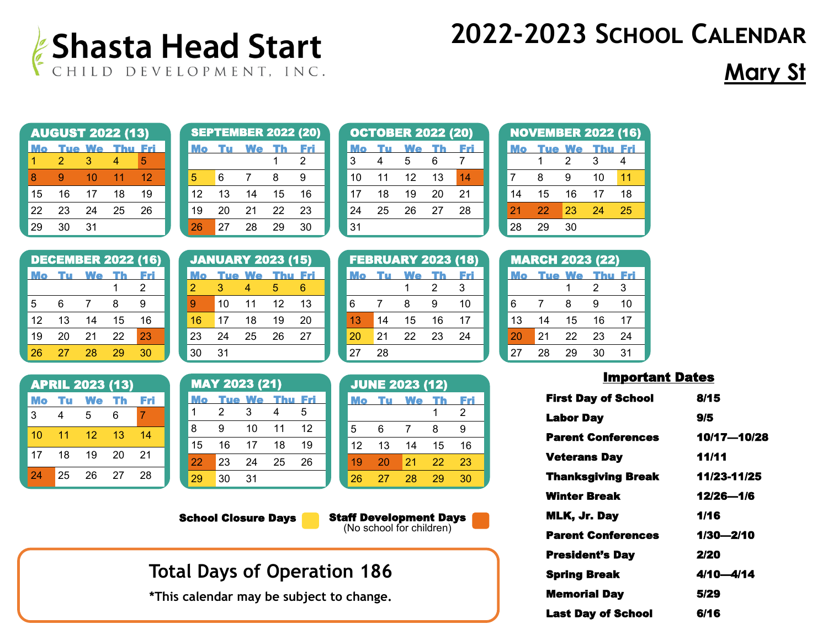

## **Mary St**

|    |    |    | <b>AUGUST 2022 (13)</b> |     |
|----|----|----|-------------------------|-----|
|    |    |    | Tue We Thu              | Fri |
|    | 2  | З  | 4                       | 5   |
| 8  | g  | 10 | 11                      | 12  |
| 15 | 16 | 17 | 18                      | 19  |
| 22 | 23 | 24 | 25                      | 26  |
|    | 30 | 31 |                         |     |

|    |    | <b>SEPTEMBER 2022 (20)</b> |    |    |
|----|----|----------------------------|----|----|
|    |    | We                         |    |    |
|    |    |                            |    | 2  |
| 5  | 6  | 7                          | 8  | 9  |
| 12 | 13 | 14                         | 15 | 16 |
| 19 | 20 | 21                         | 22 | 23 |
| 26 | 27 | 28                         | 29 | 30 |

|    |    | <b>OCTOBER 2022 (20)</b> |    |    |
|----|----|--------------------------|----|----|
|    |    | We                       |    |    |
| 3  | 4  | 5                        | 6  | 7  |
| 10 | 11 | 12                       | 13 | 14 |
| 17 | 18 | 19                       | 20 | 21 |
| 24 | 25 | 26                       | 27 | 28 |
| 31 |    |                          |    |    |

FEBRUARY 2023 (18) Mo Tu We Th Fri

6 7 8 9 10

1 2 3

| <b>NOVEMBER 2022 (16)</b> |    |        |     |     |  |  |  |
|---------------------------|----|--------|-----|-----|--|--|--|
|                           |    | 'ue We | Thu | Fri |  |  |  |
|                           |    | 2      | З   | 4   |  |  |  |
| 7                         | 8  | 9      | 10  | 11  |  |  |  |
| 14                        | 15 | 16     | 17  | 18  |  |  |  |
| 21                        | 22 | 23     | 24  | 25  |  |  |  |
| 28                        | 29 | 30     |     |     |  |  |  |

|    |    | <b>DECEMBER 2022 (16)</b> |    |    | J              |
|----|----|---------------------------|----|----|----------------|
| Mo | m  | <b>We</b>                 |    |    |                |
|    |    |                           |    | 2  | $\overline{a}$ |
| 5  | 6  | 7                         | 8  | 9  | g              |
| 12 | 13 | 14                        | 15 | 16 | 1              |
| 19 | 20 | 21                        | 22 | 23 | $\overline{2}$ |
| 26 | 27 | 28                        | 29 | 30 | 3              |

| <b>APRIL 2023 (13)</b> |    |             |    |       |  |  |  |
|------------------------|----|-------------|----|-------|--|--|--|
|                        |    | Mo Tu We Th |    | - Fri |  |  |  |
| 3                      | 4  | 5           | 6  | 7     |  |  |  |
| 10                     | 11 | 12          | 13 | 14    |  |  |  |
| 17                     | 18 | 19          | 20 | 21    |  |  |  |
| 24                     | 25 | 26          | 27 | 28    |  |  |  |

| <b>JANUARY 2023 (15)</b> |    |    |                       |    |  |  |
|--------------------------|----|----|-----------------------|----|--|--|
|                          |    |    | <b>Tue We Thu Fri</b> |    |  |  |
| 2                        | З  |    | 5                     | հ  |  |  |
| 9                        | 10 | 11 | 12                    | 13 |  |  |
| 16                       | 17 | 18 | 19                    | 20 |  |  |
| 23                       | 24 | 25 | 26                    | 27 |  |  |
| 30                       | 31 |    |                       |    |  |  |

22 23 24 25 26

| 23 | 24                   | 25            | 26  | 27  |  | 20  |
|----|----------------------|---------------|-----|-----|--|-----|
| 30 | 31                   |               |     |     |  | 27  |
|    |                      |               |     |     |  |     |
|    | <b>MAY 2023 (21)</b> |               |     |     |  | JUN |
|    |                      |               |     |     |  |     |
| Mo |                      | <b>Tue We</b> | Thu | Fri |  |     |
|    | 2                    | 3             |     | 5   |  |     |
| 8  | 9                    | 10            | 11  | 12  |  | 5   |

| 13 | 14  | 15                    | 16 | 17 |
|----|-----|-----------------------|----|----|
| 20 | 21  | 22                    | 23 | 24 |
| 27 | 28  |                       |    |    |
|    |     |                       |    |    |
|    |     | <b>JUNE 2023 (12)</b> |    |    |
|    | Tul | We                    |    | FМ |
|    |     |                       |    | 2  |
|    |     |                       |    |    |

| UVINI AVAV ( IA) |    |          |    |     |  |  |
|------------------|----|----------|----|-----|--|--|
| Mo               |    | Tu We Th |    | Fri |  |  |
|                  |    |          |    | 2   |  |  |
| 5                | 6  | 7        | 8  | 9   |  |  |
| 12               | 13 | 14       | 15 | 16  |  |  |
| 19               | 20 | 21       | 22 | 23  |  |  |
| 26               | 27 | 28       | 29 | 30  |  |  |

School Closure Days

29 30 31

Staff Development Days (No school for children)

## **Total Days of Operation 186**

**\*This calendar may be subject to change.** 

| ΖI | zz | ںے    | ∠∸                     | ΖJ  |
|----|----|-------|------------------------|-----|
| 28 | 29 | 30    |                        |     |
|    |    |       |                        |     |
|    |    |       | <b>MARCH 2023 (22)</b> |     |
|    |    | ue We |                        | Eri |
|    |    | 1     | $\overline{2}$         | 3   |
| 6  | 7  | 8     | 9                      | 10  |
| 13 | 14 | 15    | 16                     | 17  |
| 20 | 21 | 22    | 23                     | 24  |
| 27 | 28 | 29    | 30                     | 31  |

| <b>First Day of School</b> | 8/15        |
|----------------------------|-------------|
| <b>Labor Day</b>           | 9/5         |
| <b>Parent Conferences</b>  | 10/17-10/28 |
| <b>Veterans Day</b>        | 11/11       |
| <b>Thanksgiving Break</b>  | 11/23-11/25 |
| <b>Winter Break</b>        | 12/26-1/6   |
| MLK, Jr. Day               | 1/16        |
| <b>Parent Conferences</b>  | 1/30-2/10   |
| <b>President's Day</b>     | 2/20        |
| <b>Spring Break</b>        | 4/10—4/14   |
| <b>Memorial Day</b>        | 5/29        |
| <b>Last Dav of School</b>  | 6/16        |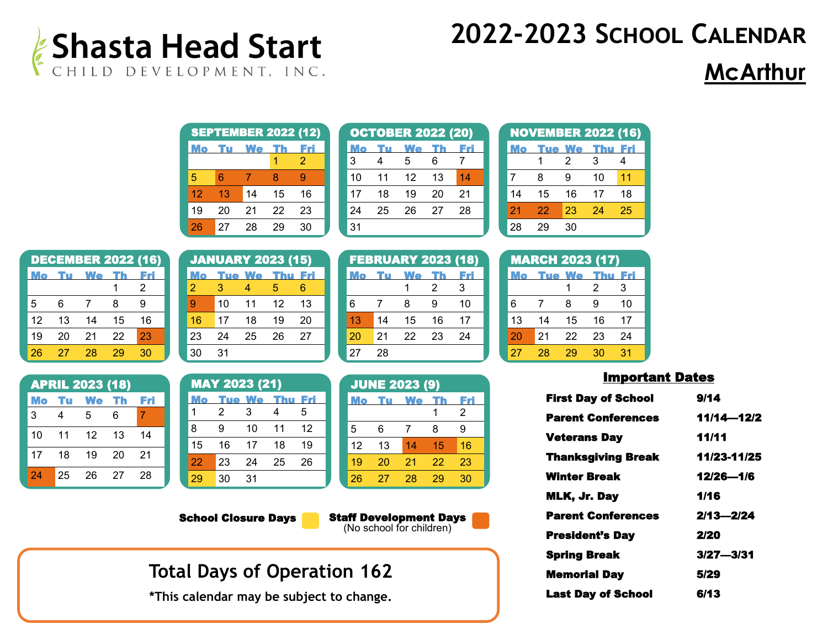

## **McArthur**

|    |    | <b>SEPTEMBER 2022 (12)</b> |    |    |
|----|----|----------------------------|----|----|
|    |    | Ne                         |    |    |
|    |    |                            |    | 2  |
| 5  | հ  |                            | 8  | g  |
| 12 | 13 | 14                         | 15 | 16 |
| 19 | 20 | 21                         | 22 | 23 |
| 26 | 27 | 28                         | 29 | 30 |

|    |    | <b>OCTOBER 2022 (20)</b> |    |    |
|----|----|--------------------------|----|----|
|    |    | We                       |    |    |
| 3  | 4  | 5                        | 6  | 7  |
| 10 | 11 | 12                       | 13 | 14 |
| 17 | 18 | 19                       | 20 | 21 |
| 24 | 25 | 26                       | 27 | 28 |
| 31 |    |                          |    |    |

FEBRUARY 2023 (18)

|    | <b>NOVEMBER 2022 (16)</b> |               |     |     |
|----|---------------------------|---------------|-----|-----|
|    |                           | <b>Tue We</b> | Thu | Eri |
|    |                           | 2             | З   | 4   |
| 7  | 8                         | 9             | 10  | 11  |
| 14 | 15                        | 16            | 17  | 18  |
| 21 | 22                        | 23            | 24  | 25  |
| 28 | 29                        | 30            |     |     |

|    |    | <b>DECEMBER 2022 (16)</b> |    |    |
|----|----|---------------------------|----|----|
|    |    | We                        |    |    |
|    |    |                           |    | 2  |
| 5  | 6  | 7                         | 8  | g  |
| 12 | 13 | 14                        | 15 | 16 |
| 19 | 20 | 21                        | 22 | 23 |
| 26 | 27 | 28                        | 29 | 30 |

| <b>APRIL 2023 (18)</b> |    |                 |    |    |  |  |  |
|------------------------|----|-----------------|----|----|--|--|--|
|                        |    | Mo Tu We Th Fri |    |    |  |  |  |
| 3                      | 4  | 5               | 6  | 7  |  |  |  |
| 10                     | 11 | 12 <sup>°</sup> | 13 | 14 |  |  |  |
| 17                     | 18 | 19              | 20 | 21 |  |  |  |
| 24                     | 25 | 26              | 27 | 28 |  |  |  |

| <b>JANUARY 2023 (15)</b> |    |    |            |     |  |  |
|--------------------------|----|----|------------|-----|--|--|
|                          |    |    | 'ue We Thu | Fri |  |  |
| $\overline{2}$           | З  | Δ  | 5          | 6   |  |  |
| 9                        | 10 | 11 | 12         | 13  |  |  |
| 16                       | 17 | 18 | 19         | 20  |  |  |
| 23                       | 24 | 25 | 26         | 27  |  |  |
| 30                       | 31 |    |            |     |  |  |

MAY 2023 (21)

1 2 3 4 5 9 10 11 12 16 17 18 19 23 24 25 26

Tue We Thu Fri

|  |    |    | m  |    |    |
|--|----|----|----|----|----|
|  |    |    |    | 2  | 3  |
|  | 6  | 7  | 8  | 9  | 10 |
|  | 13 | 14 | 15 | 16 | 17 |
|  | 20 | 21 | 22 | 23 | 24 |
|  | 27 | 28 |    |    |    |
|  |    |    |    |    |    |

| <b>JUNE 2023 (9)</b> |    |    |    |    |  |  |
|----------------------|----|----|----|----|--|--|
| Mo                   |    | We |    |    |  |  |
|                      |    |    |    | 2  |  |  |
| 5                    | 6  | 7  | 8  | 9  |  |  |
| 12                   | 13 | 14 | 15 | 16 |  |  |
| 19                   | 20 | 21 | 22 | 23 |  |  |
| 26                   | 27 | 28 | 29 | 30 |  |  |

School Closure Days

29 30 31

Staff Development Days (No school for children)

### **Total Days of Operation 162**

**\*This calendar may be subject to change.** 

|    | <b>MARCH 2023 (17)</b> |               |     |     |  |  |  |
|----|------------------------|---------------|-----|-----|--|--|--|
|    |                        | <b>Tue We</b> | Thu | Fri |  |  |  |
|    |                        |               | 2   | 3   |  |  |  |
| 6  | 7                      | 8             | g   | 10  |  |  |  |
| 13 | 14                     | 15            | 16  | 17  |  |  |  |
| 20 | 21                     | 22            | 23  | 24  |  |  |  |
| 27 | 28                     | 29            | 30  | 31  |  |  |  |

| <b>First Day of School</b> | 9/14          |
|----------------------------|---------------|
| <b>Parent Conferences</b>  | 11/14-12/2    |
| <b>Veterans Day</b>        | 11/11         |
| <b>Thanksgiving Break</b>  | 11/23-11/25   |
| Winter Break               | 12/26-1/6     |
| MLK, Jr. Day               | 1/16          |
| <b>Parent Conferences</b>  | $2/13 - 2/24$ |
| <b>President's Day</b>     | 2/20          |
| <b>Spring Break</b>        | $3/27 - 3/31$ |
| <b>Memorial Day</b>        | 5/29          |
| <b>Last Day of School</b>  | 6/13          |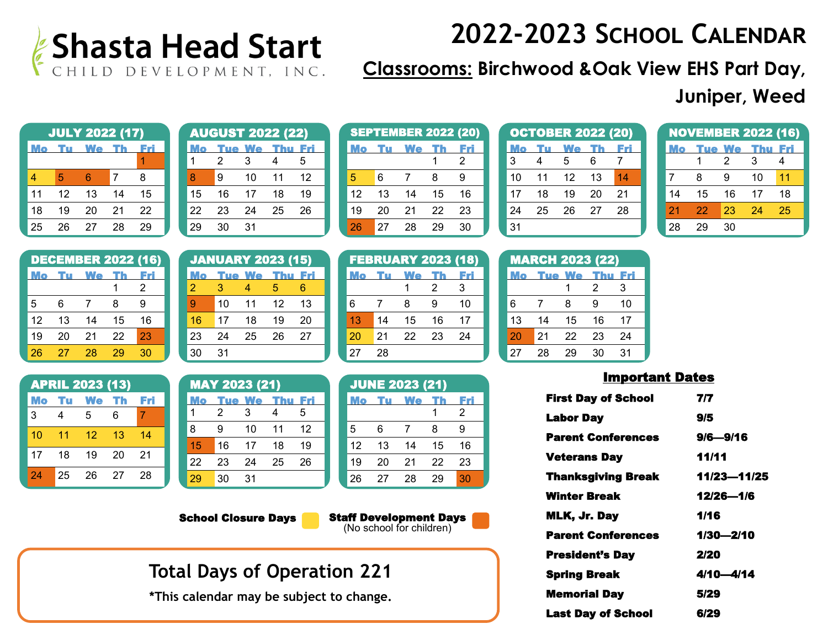

**Classrooms: Birchwood &Oak View EHS Part Day,** 

### **Juniper, Weed**

| <b>JULY 2022 (17)</b> |    |    |    |    |  |  |
|-----------------------|----|----|----|----|--|--|
|                       |    | We |    |    |  |  |
|                       |    |    |    |    |  |  |
| 4                     | 5  | հ  | 7  | 8  |  |  |
| 11                    | 12 | 13 | 14 | 15 |  |  |
| 18                    | 19 | 20 | 21 | 22 |  |  |
| 25                    | 26 | 27 | 28 | 29 |  |  |

| <b>AUGUST 2022 (22)</b> |    |        |    |    |  |  |
|-------------------------|----|--------|----|----|--|--|
|                         |    | 'ue We |    |    |  |  |
|                         | 2  | 3      | 4  | 5  |  |  |
| 8                       | 9  | 10     | 11 | 12 |  |  |
| 15                      | 16 | 17     | 18 | 19 |  |  |
| 22                      | 23 | 24     | 25 | 26 |  |  |
| 29                      | 30 | 31     |    |    |  |  |

|    |    | <b>SEPTEMBER 2022 (20)</b> |    |    |
|----|----|----------------------------|----|----|
|    |    | We                         |    |    |
|    |    |                            |    | 2  |
| 5  | 6  | 7                          | 8  | 9  |
| 12 | 13 | 14                         | 15 | 16 |
| 19 | 20 | 21                         | 22 | 23 |
| 26 | 27 | 28                         | 29 | 30 |

|    |    | <b>OCTOBER 2022 (20)</b> |    |     |
|----|----|--------------------------|----|-----|
|    |    | We                       | ть | Fri |
| 3  | 4  | 5                        | 6  |     |
| 10 | 11 | 12                       | 13 | 14  |
| 17 | 18 | 19                       | 20 | 21  |
| 24 | 25 | 26                       | 27 | 28  |
| 31 |    |                          |    |     |

|    | <b>NOVEMBER 2022 (16)</b> |        |     |     |
|----|---------------------------|--------|-----|-----|
|    |                           | 'ue We | Thu | Fri |
|    |                           | 2      | 3   | 4   |
| 7  | 8                         | g      | 10  | 11  |
| 14 | 15                        | 16     | 17  | 18  |
| 21 | 22                        | 23     | 24  | 25  |
| 28 | 29                        | 30     |     |     |

|    |    | <b>DECEMBER 2022 (16)</b> |    |    |  |
|----|----|---------------------------|----|----|--|
|    | TU | We                        |    |    |  |
|    |    |                           |    | 2  |  |
| 5  | 6  | 7                         | 8  | 9  |  |
| 12 | 13 | 14                        | 15 | 16 |  |
| 19 | 20 | 21                        | 22 | 23 |  |
| 26 | 27 | 28                        | 29 | 30 |  |

|    | <b>APRIL 2023 (13)</b> |                 |         |            |  |  |  |  |
|----|------------------------|-----------------|---------|------------|--|--|--|--|
|    |                        | Mo Tu We Th     |         | <b>Fri</b> |  |  |  |  |
| 3  | 4                      | .5              | 6       | 7          |  |  |  |  |
| 10 | $\overline{11}$        | 12 <sup>°</sup> | $_{13}$ | 14         |  |  |  |  |
| 17 | 18                     | 19              | -20     | -21        |  |  |  |  |
| 24 | 25                     | -26             | -27     | -28        |  |  |  |  |

|    |    |                   | <b>JANUARY 2023 (15)</b> |     |
|----|----|-------------------|--------------------------|-----|
|    |    | <b>Tue We Thu</b> |                          | Fri |
| 2  | З  | 4                 | 5                        | 6   |
| 9  | 10 | 11                | $12 \overline{ }$        | 13  |
| 16 | 17 | 18                | 19                       | 20  |
| 23 | 24 | 25                | 26                       | 27  |
| 30 | 31 |                   |                          |     |

| <b>MAY 2023 (21)</b> |    |        |     |       |  |  |
|----------------------|----|--------|-----|-------|--|--|
|                      |    | 'ue We | Thu | . Fri |  |  |
|                      | 2  | 3      | Δ   | 5     |  |  |
| 8                    | g  | 10     | 11  | 12    |  |  |
| 15                   | 16 | 17     | 18  | 19    |  |  |
| 22                   | 23 | 24     | 25  | 26    |  |  |
| 29                   | 30 | 31     |     |       |  |  |

School Closure Days

|    |    | <b>FEBRUARY 2023 (18)</b> |    |    |
|----|----|---------------------------|----|----|
| ио |    | we                        |    |    |
|    |    |                           | 2  | 3  |
| 6  | 7  | 8                         | 9  | 10 |
| 13 | 14 | 15                        | 16 | 17 |
| 20 | 21 | 22                        | 23 | 24 |
| 27 | 28 |                           |    |    |

|    |    | <b>JUNE 2023 (21)</b> |    |     |
|----|----|-----------------------|----|-----|
| Mo |    | <b>We</b>             |    | Fri |
|    |    |                       |    | 2   |
| 5  | 6  | 7                     | 8  | 9   |
| 12 | 13 | 14                    | 15 | 16  |
| 19 | 20 | 21                    | 22 | 23  |
| 26 | 27 | 28                    | 29 | 30  |

Staff Development Days (No school for children)

## **Total Days of Operation 221**

**\*This calendar may be subject to change.** 

| 24              | 25 | 20            | <sup>21</sup>          | zŏ  |  |
|-----------------|----|---------------|------------------------|-----|--|
| 31              |    |               |                        |     |  |
|                 |    |               |                        |     |  |
|                 |    |               | <b>MARCH 2023 (22)</b> |     |  |
| Mo              |    | <b>Tue We</b> |                        | Fri |  |
|                 |    | 1             | 2                      | 3   |  |
| 6               | 7  | 8             | 9                      | 10  |  |
| 13 <sup>2</sup> | 14 | 15            | 16                     | 17  |  |
| 20              | 21 | 22            | 23                     | 24  |  |
| 27              | 28 | 29            | 30                     | 31  |  |

| <b>First Day of School</b> | 717         |
|----------------------------|-------------|
| <b>Labor Day</b>           | 9/5         |
| <b>Parent Conferences</b>  | 9/6—9/16    |
| <b>Veterans Day</b>        | 11/11       |
| <b>Thanksgiving Break</b>  | 11/23-11/25 |
| Winter Break               | 12/26-1/6   |
| MLK, Jr. Day               | 1/16        |
| <b>Parent Conferences</b>  | 1/30—2/10   |
| <b>President's Day</b>     | 2/20        |
| <b>Spring Break</b>        | 4/10-4/14   |
| <b>Memorial Day</b>        | 5/29        |
| <b>Last Dav of School</b>  | 6/29        |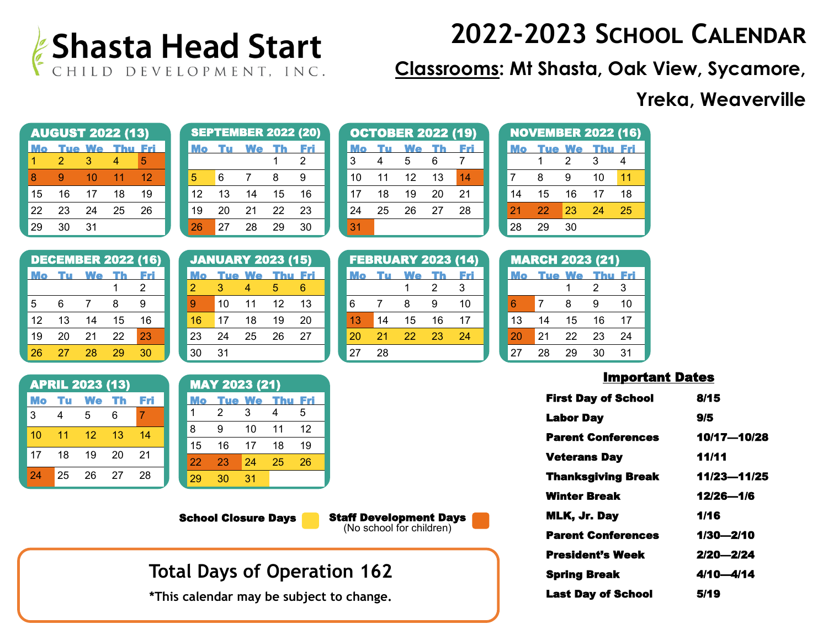

**Classrooms: Mt Shasta, Oak View, Sycamore,**

### **Yreka, Weaverville**

|    | <b>AUGUST 2022 (13)</b> |               |     |     |  |  |  |
|----|-------------------------|---------------|-----|-----|--|--|--|
|    |                         | <u>Tue We</u> | Thu | Fri |  |  |  |
| 1  | 2                       | З             | 4   | 5   |  |  |  |
| 8  | g                       | 10            | 11  | 12  |  |  |  |
| 15 | 16                      | 17            | 18  | 19  |  |  |  |
| 22 | 23                      | 24            | 25  | 26  |  |  |  |
| 20 | 30                      | 31            |     |     |  |  |  |

|    |    | <b>SEPTEMBER 2022 (20)</b> |    |    |
|----|----|----------------------------|----|----|
|    |    | We                         |    |    |
|    |    |                            |    | 2  |
| 5  | 6  |                            | 8  | 9  |
| 12 | 13 | 14                         | 15 | 16 |
| 19 | 20 | 21                         | 22 | 23 |
| 26 | 27 | 28                         | 29 | 30 |

|    |    | <b>OCTOBER 2022 (19)</b> |    |    |
|----|----|--------------------------|----|----|
|    |    | <b>We</b>                |    |    |
| 3  | Δ  | 5                        | 6  |    |
| 10 | 11 | 12                       | 13 | 14 |
| 17 | 18 | 19                       | 20 | 21 |
| 24 | 25 | 26                       | 27 | 28 |
| 31 |    |                          |    |    |

**We**  $1$ 

**FEBRUARY** 

6 7 8 13 14 15 20 21 22

27 28

| <b>NOVEMBER 2022 (16)</b> |    |               |     |     |  |  |
|---------------------------|----|---------------|-----|-----|--|--|
|                           |    | <b>Tue We</b> | Thu | Fri |  |  |
|                           |    | 2             | 3   | 4   |  |  |
| 7                         | 8  | 9             | 10  | 11  |  |  |
| 14                        | 15 | 16            | 17  | 18  |  |  |
| 21                        | 22 | 23            | 24  | 25  |  |  |
| 28                        | 29 | 30            |     |     |  |  |

|    |    | <b>DECEMBER 2022 (16)</b> |    |    |   |
|----|----|---------------------------|----|----|---|
| Мо |    | <b>We</b>                 |    |    |   |
|    |    |                           |    | 2  |   |
| 5  | 6  | 7                         | 8  | 9  | Š |
| 12 | 13 | 14                        | 15 | 16 |   |
| 19 | 20 | 21                        | 22 | 23 | ź |
| 26 | 27 | 28                        | 29 | 30 | í |

| <b>APRIL 2023 (13)</b> |      |         |     |     |  |  |
|------------------------|------|---------|-----|-----|--|--|
| Mo                     | - Tu | We Th   |     | Fri |  |  |
| 3                      | 4    | 5       | 6   | 7   |  |  |
| 10                     | 11   | $12 \,$ | -13 | 14  |  |  |
| 17                     | 18   | 19      | 20  | 21  |  |  |
| 24                     | 25   | 26      | 27  | 28  |  |  |

|    | <b>JANUARY 2023 (15)</b> |    |                   |       |
|----|--------------------------|----|-------------------|-------|
|    |                          |    | <b>Tue We Thu</b> | - Fri |
| 2  | 3                        | 4  | 5                 | 6     |
| g  | 10                       | 11 | 12                | 13    |
| 16 | 17                       | 18 | 19                | 20    |
| 23 | 24                       | 25 | 26                | 27    |
| 30 | 31                       |    |                   |       |

| <b>MAY 2023 (21)</b> |    |        |     |     |  |  |
|----------------------|----|--------|-----|-----|--|--|
|                      |    | 'ue We | Thu | Fri |  |  |
| 1                    | 2  | 3      | 4   | 5   |  |  |
| 8                    | 9  | 10     | 11  | 12  |  |  |
| 15                   | 16 | 17     | 18  | 19  |  |  |
| 22                   | 23 | 24     | 25  | 26  |  |  |
| 29                   | 30 | 31     |     |     |  |  |

School Closure Days

Staff Development Days (No school for children)

### **Total Days of Operation 162**

**\*This calendar may be subject to change.** 

| 2023 (14) |     |    | <b>MARCH 2</b> |     |
|-----------|-----|----|----------------|-----|
|           | Fri |    | 'ue            | - V |
| 2         | 3   |    |                |     |
| 9         | 10  | 6  | 7              | 8   |
| 16        | 17  | 13 | 14             |     |
| 23        | 24  | 20 | 21             | 2   |
|           |     | 27 | 28             | 2   |

| <b>MARCH 2023 (21)</b> |               |    |     |     |  |  |  |
|------------------------|---------------|----|-----|-----|--|--|--|
| Мо                     | <b>Tue We</b> |    | Thu | Eri |  |  |  |
|                        |               |    | 2   | 3   |  |  |  |
| 6                      | 7             | 8  | g   | 10  |  |  |  |
| 13                     | 14            | 15 | 16  | 17  |  |  |  |
| 20                     | 21            | 22 | 23  | 24  |  |  |  |
| 27                     | 28            | 29 | 30  | 31  |  |  |  |

| <b>First Day of School</b> | 8/15        |
|----------------------------|-------------|
| <b>Labor Day</b>           | 9/5         |
| <b>Parent Conferences</b>  | 10/17—10/28 |
| <b>Veterans Day</b>        | 11/11       |
| <b>Thanksgiving Break</b>  | 11/23-11/25 |
| Winter Break               | 12/26-1/6   |
| MLK, Jr. Day               | 1/16        |
| <b>Parent Conferences</b>  | 1/30—2/10   |
| <b>President's Week</b>    | 2/20—2/24   |
| <b>Spring Break</b>        | 4/10—4/14   |
| <b>Last Dav of School</b>  | 5/19        |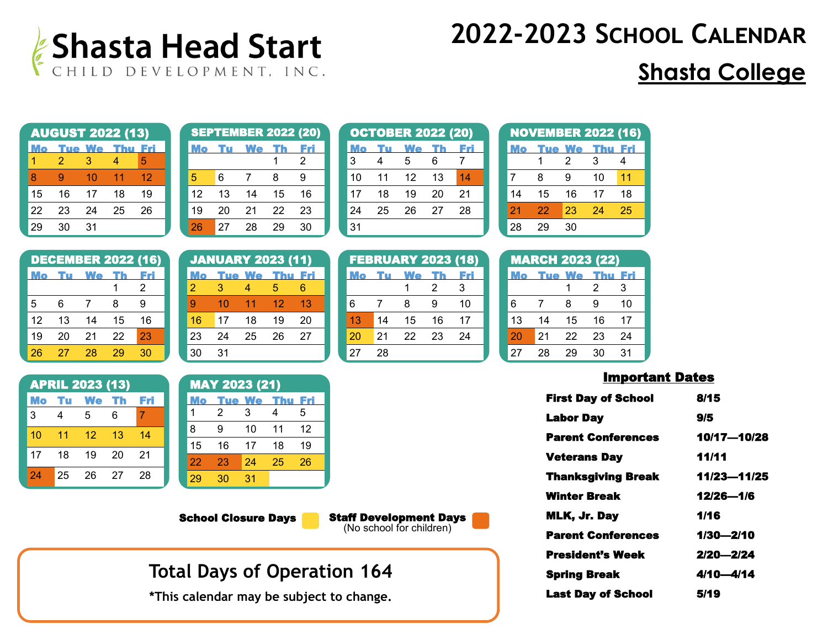

## **Shasta College**

| <b>AUGUST 2022 (13)</b> |    |               |     |     |  |  |
|-------------------------|----|---------------|-----|-----|--|--|
|                         |    | <b>Tue We</b> | Thu | Fri |  |  |
| 1                       | 2  | З             | 4   | 5   |  |  |
| 8                       | g  | 10            | 11  | 12  |  |  |
| 15                      | 16 | 17            | 18  | 19  |  |  |
| 22                      | 23 | 24            | 25  | 26  |  |  |
| 20                      | 30 | 31            |     |     |  |  |

|    |    | <b>SEPTEMBER 2022 (20)</b> |    |    |
|----|----|----------------------------|----|----|
|    |    | <b>We</b>                  |    |    |
|    |    |                            |    | 2  |
| 5  | 6  |                            | 8  | 9  |
| 12 | 13 | 14                         | 15 | 16 |
| 19 | 20 | 21                         | 22 | 23 |
| 26 | 27 | 28                         | 29 | 30 |

|    |    | <b>OCTOBER 2022 (20)</b> |    |    |
|----|----|--------------------------|----|----|
|    |    | We                       |    |    |
| 3  | 4  | 5                        | 6  | 7  |
| 10 | 11 | 12                       | 13 | 14 |
| 17 | 18 | 19                       | 20 | 21 |
| 24 | 25 | 26                       | 27 | 28 |
| 31 |    |                          |    |    |

FEBRUARY 2023 (18) Mo Tu We Th Fri

6 7 8 9 10 13 14 15 16 17 20 21 22 23 24

27 28

1 2 3

| <b>NOVEMBER 2022 (16)</b> |    |        |     |     |  |  |
|---------------------------|----|--------|-----|-----|--|--|
|                           |    | 'ue We | Thu | EZI |  |  |
|                           |    | 2      | 3   | 4   |  |  |
| 7                         | 8  | 9      | 10  | 11  |  |  |
| 14                        | 15 | 16     | 17  | 18  |  |  |
| 21                        | 22 | 23     | 24  | 25  |  |  |
| 28                        | 29 | 30     |     |     |  |  |

|    |    | <b>DECEMBER 2022 (16)</b> |    |    |  |
|----|----|---------------------------|----|----|--|
| ию | m  | We                        |    |    |  |
|    |    |                           |    | 2  |  |
| 5  | 6  | 7                         | 8  | g  |  |
| 12 | 13 | 14                        | 15 | 16 |  |
| 19 | 20 | 21                        | 22 | 23 |  |
| 26 | 27 | 28                        | 29 | 30 |  |

| <b>APRIL 2023 (13)</b> |      |       |    |     |  |  |
|------------------------|------|-------|----|-----|--|--|
| Mo                     | - Tu | We Th |    | Fri |  |  |
| 3                      | 4    | 5     | 6  | 7   |  |  |
| 10                     | 11   | 12    | 13 | 14  |  |  |
| 17                     | 18   | 19    | 20 | 21  |  |  |
| 24                     | 25   | 26    | 27 | 28  |  |  |

|                | <b>JANUARY 2023 (11)</b> |                   |                 |       |
|----------------|--------------------------|-------------------|-----------------|-------|
|                |                          | <b>Tue We Thu</b> |                 | - Fri |
| $\overline{2}$ | З                        | Δ                 | 5               | 6     |
| 9              | 10                       | $\overline{11}$   | 12 <sup>°</sup> | 13    |
| 16             | 17                       | 18                | 19              | 20    |
| 23             | 24                       | 25                | 26              | 27    |
| 30             | 31                       |                   |                 |       |

| <b>MAY 2023 (21)</b> |               |    |     |     |  |  |
|----------------------|---------------|----|-----|-----|--|--|
|                      | <b>Tue We</b> |    | Thu | Fri |  |  |
| 1                    | 2             | 3  | 4   | 5   |  |  |
| 8                    | g             | 10 | 11  | 12  |  |  |
| 15                   | 16            | 17 | 18  | 19  |  |  |
| 22                   | 23            | 24 | 25  | 26  |  |  |
| 29                   | 30            | 31 |     |     |  |  |

School Closure Days

Staff Development Days (No school for children)

### **Total Days of Operation 164**

**\*This calendar may be subject to change.** 

|    | <b>MARCH 2023 (22)</b> |    |    |    |
|----|------------------------|----|----|----|
|    | <b>Tue We</b>          |    |    |    |
|    |                        |    | 2  | 3  |
| 6  | 7                      | 8  | 9  | 10 |
| 13 | 14                     | 15 | 16 | 17 |
| 20 | 21                     | 22 | 23 | 24 |
| 27 | 28                     | 29 | 30 | 31 |

| <b>First Day of School</b> | 8/15          |
|----------------------------|---------------|
| <b>Labor Day</b>           | 9/5           |
| <b>Parent Conferences</b>  | 10/17-10/28   |
| <b>Veterans Day</b>        | 11/11         |
| <b>Thanksgiving Break</b>  | 11/23-11/25   |
| Winter Break               | 12/26-1/6     |
| MLK, Jr. Day               | 1/16          |
| <b>Parent Conferences</b>  | 1/30—2/10     |
| President's Week           | $2/20 - 2/24$ |
| <b>Spring Break</b>        | 4/10—4/14     |
| <b>Last Dav of School</b>  | 5/19          |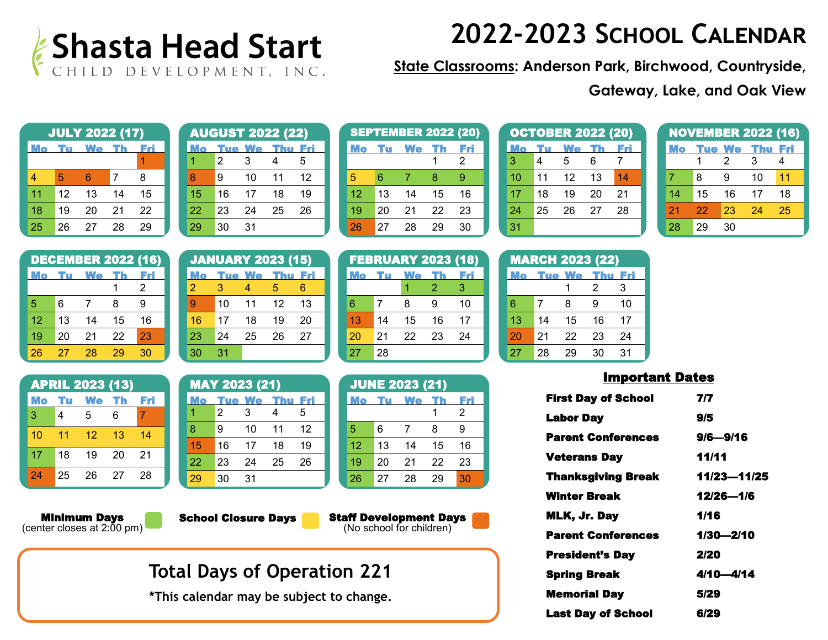

**State Classrooms: Anderson Park, Birchwood, Countryside,** 

**Gateway, Lake, and Oak View**

| <b>JULY 2022 (17)</b> |    |    |    |    |  |  |
|-----------------------|----|----|----|----|--|--|
|                       |    | We |    |    |  |  |
|                       |    |    |    |    |  |  |
| 4                     | 5  | 6  | 7  | 8  |  |  |
| 11                    | 12 | 13 | 14 | 15 |  |  |
| 18                    | 19 | 20 | 21 | 22 |  |  |
| 25                    | 26 | 27 | 28 | 29 |  |  |

|    |    |        | <b>AUGUST 2022 (22)</b> |     |
|----|----|--------|-------------------------|-----|
|    |    | 'ue We |                         | Eri |
|    | 2  | 3      | 4                       | 5   |
| 8  | я  | 10     | 11                      | 12  |
| 15 | 16 | 17     | 18                      | 19  |
| 22 | 23 | 24     | 25                      | 26  |
| 29 | 30 | 31     |                         |     |

|    |    | <b>SEPTEMBER 2022 (20)</b> |    |    |
|----|----|----------------------------|----|----|
|    |    | We                         |    | EZ |
|    |    |                            |    | 2  |
| 5  | 6  | 7                          | 8  | 9  |
| 12 | 13 | 14                         | 15 | 16 |
| 19 | 20 | 21                         | 22 | 23 |
| 26 | 27 | 28                         | 29 | 30 |

|    |    | <b>OCTOBER 2022 (20)</b> |    |    |
|----|----|--------------------------|----|----|
|    |    | We                       |    |    |
| 3  | 4  | 5                        | 6  |    |
| 10 | 11 | 12                       | 13 | 14 |
| 17 | 18 | 19                       | 20 | 21 |
| 24 | 25 | 26                       | 27 | 28 |
| 31 |    |                          |    |    |

|    |    |        | <b>NOVEMBER 2022 (16)</b> |     |
|----|----|--------|---------------------------|-----|
|    |    | iue We | Thu                       | Fri |
|    |    | 2      | 3                         | 4   |
|    | 8  | я      | 10                        | 11  |
| 14 | 15 | 16     | 17                        | 18  |
| 21 | 22 | 23     | 24                        | 25  |
| 28 | 29 | 30     |                           |     |

|    |    |           |    | <b>DECEMBER 2022 (16)</b> |  |
|----|----|-----------|----|---------------------------|--|
|    | m  | <b>We</b> |    |                           |  |
|    |    |           |    | 2                         |  |
| 5  | 6  |           | 8  | 9                         |  |
| 12 | 13 | 14        | 15 | 16                        |  |
| 19 | 20 | 21        | 22 | 23                        |  |
| 26 | 27 | 28        | 29 | 30                        |  |

|           |    | <b>APRIL 2023 (13)</b> |      |       |
|-----------|----|------------------------|------|-------|
| <b>Mo</b> | Tu | We                     | - Th | - Fri |
| 3         | 4  | 5                      | 6    | 7     |
| 10        | 11 | 12                     | 13   | 14    |
| 17        | 18 | 19                     | 20   | 21    |
| 24        | 25 | 26                     | 27   | 28    |

**Minimum Days**<br>(center closes at 2:00 pm)

JANUARY 2023 (15) Thu Fri 2 3 4 5 6 9 10 11 12 13 16 17 18 19 20 23 24 25 26 27 30 31

|    |    | <b>MAY 2023 (21)</b> |     |     |  |
|----|----|----------------------|-----|-----|--|
|    |    | 'ue We               | Thu | Fri |  |
|    | 2  | 3                    | 4   | 5   |  |
| 8  | 9  | 10                   | 11  | 12  |  |
| 15 | 16 | 17                   | 18  | 19  |  |
| 22 | 23 | 24                   | 25  | 26  |  |
| 29 | 30 | 31                   |     |     |  |

**School Closure Days** 

Staff Development Days (No school for children)

## **Total Days of Operation 221**

**\*This calendar may be subject to change.** 

|    |    | <b>FEBRUARY 2023 (18)</b> |    |     |
|----|----|---------------------------|----|-----|
|    |    | We                        | Th | Fri |
|    |    |                           | 2  | З   |
| 6  | 7  | 8                         | g  | 10  |
| 13 | 14 | 15                        | 16 | 17  |
| 20 | 21 | 22                        | 23 | 24  |
| 27 | 28 |                           |    |     |

|    |    | <b>JUNE 2023 (21)</b> |    |     |
|----|----|-----------------------|----|-----|
| Mo | m  | We                    |    | Fri |
|    |    |                       |    | 2   |
| 5  | 6  | 7                     | 8  | 9   |
| 12 | 13 | 14                    | 15 | 16  |
| 19 | 20 | 21                    | 22 | 23  |
| 26 | 27 | 28                    | 29 | 30  |

|    |    | <b>MARCH 2023 (22)</b> |     |     |
|----|----|------------------------|-----|-----|
| Mo |    | <b>Tue We</b>          | Thu | Fri |
|    |    |                        | 2   | 3   |
| 6  | 7  | 8                      | 9   | 10  |
| 13 | 14 | 15                     | 16  | 17  |
| 20 | 21 | 22                     | 23  | 24  |
| 27 | 28 | 29                     | 30  | 31  |

| <b>First Day of School</b> | 7/7         |
|----------------------------|-------------|
| <b>Labor Day</b>           | 9/5         |
| <b>Parent Conferences</b>  | 9/6—9/16    |
| <b>Veterans Day</b>        | 11/11       |
| <b>Thanksgiving Break</b>  | 11/23-11/25 |
| <b>Winter Break</b>        | 12/26-1/6   |
| MLK, Jr. Day               | 1/16        |
| <b>Parent Conferences</b>  | 1/30—2/10   |
| <b>President's Day</b>     | 2/20        |
| <b>Spring Break</b>        | 4/10—4/14   |
| <b>Memorial Day</b>        | 5/29        |
| <b>Last Dav of School</b>  | 6/29        |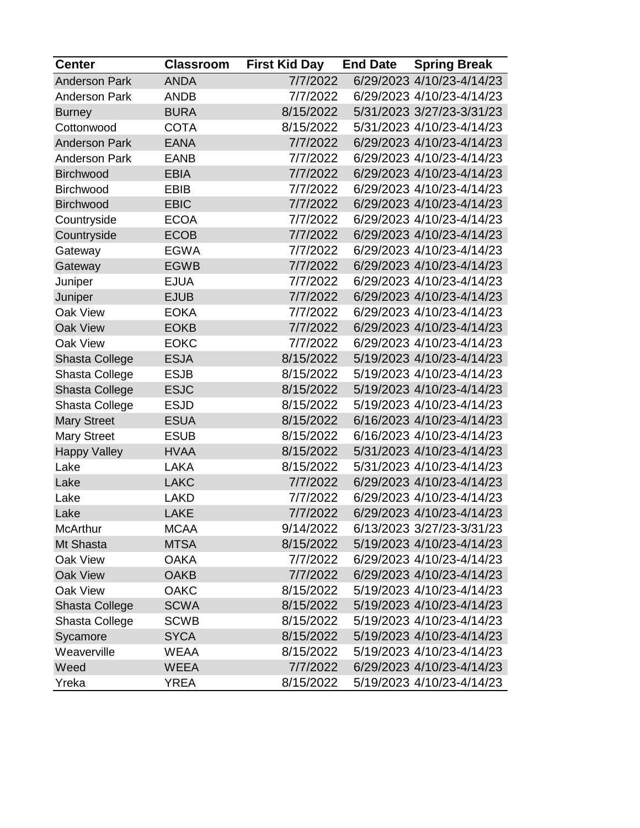| <b>Center</b>        | <b>Classroom</b> | <b>First Kid Day</b> | <b>End Date</b> | <b>Spring Break</b>       |
|----------------------|------------------|----------------------|-----------------|---------------------------|
| <b>Anderson Park</b> | <b>ANDA</b>      | 7/7/2022             |                 | 6/29/2023 4/10/23-4/14/23 |
| <b>Anderson Park</b> | <b>ANDB</b>      | 7/7/2022             |                 | 6/29/2023 4/10/23-4/14/23 |
| <b>Burney</b>        | <b>BURA</b>      | 8/15/2022            |                 | 5/31/2023 3/27/23-3/31/23 |
| Cottonwood           | <b>COTA</b>      | 8/15/2022            |                 | 5/31/2023 4/10/23-4/14/23 |
| <b>Anderson Park</b> | <b>EANA</b>      | 7/7/2022             |                 | 6/29/2023 4/10/23-4/14/23 |
| <b>Anderson Park</b> | <b>EANB</b>      | 7/7/2022             |                 | 6/29/2023 4/10/23-4/14/23 |
| <b>Birchwood</b>     | <b>EBIA</b>      | 7/7/2022             |                 | 6/29/2023 4/10/23-4/14/23 |
| Birchwood            | <b>EBIB</b>      | 7/7/2022             |                 | 6/29/2023 4/10/23-4/14/23 |
| <b>Birchwood</b>     | <b>EBIC</b>      | 7/7/2022             |                 | 6/29/2023 4/10/23-4/14/23 |
| Countryside          | <b>ECOA</b>      | 7/7/2022             |                 | 6/29/2023 4/10/23-4/14/23 |
| Countryside          | <b>ECOB</b>      | 7/7/2022             |                 | 6/29/2023 4/10/23-4/14/23 |
| Gateway              | <b>EGWA</b>      | 7/7/2022             |                 | 6/29/2023 4/10/23-4/14/23 |
| Gateway              | <b>EGWB</b>      | 7/7/2022             |                 | 6/29/2023 4/10/23-4/14/23 |
| Juniper              | <b>EJUA</b>      | 7/7/2022             |                 | 6/29/2023 4/10/23-4/14/23 |
| Juniper              | <b>EJUB</b>      | 7/7/2022             |                 | 6/29/2023 4/10/23-4/14/23 |
| Oak View             | <b>EOKA</b>      | 7/7/2022             |                 | 6/29/2023 4/10/23-4/14/23 |
| Oak View             | <b>EOKB</b>      | 7/7/2022             |                 | 6/29/2023 4/10/23-4/14/23 |
| Oak View             | <b>EOKC</b>      | 7/7/2022             |                 | 6/29/2023 4/10/23-4/14/23 |
| Shasta College       | <b>ESJA</b>      | 8/15/2022            |                 | 5/19/2023 4/10/23-4/14/23 |
| Shasta College       | <b>ESJB</b>      | 8/15/2022            |                 | 5/19/2023 4/10/23-4/14/23 |
| Shasta College       | <b>ESJC</b>      | 8/15/2022            |                 | 5/19/2023 4/10/23-4/14/23 |
| Shasta College       | <b>ESJD</b>      | 8/15/2022            |                 | 5/19/2023 4/10/23-4/14/23 |
| <b>Mary Street</b>   | <b>ESUA</b>      | 8/15/2022            |                 | 6/16/2023 4/10/23-4/14/23 |
| <b>Mary Street</b>   | <b>ESUB</b>      | 8/15/2022            |                 | 6/16/2023 4/10/23-4/14/23 |
| <b>Happy Valley</b>  | <b>HVAA</b>      | 8/15/2022            |                 | 5/31/2023 4/10/23-4/14/23 |
| Lake                 | <b>LAKA</b>      | 8/15/2022            |                 | 5/31/2023 4/10/23-4/14/23 |
| Lake                 | <b>LAKC</b>      | 7/7/2022             |                 | 6/29/2023 4/10/23-4/14/23 |
| Lake                 | <b>LAKD</b>      | 7/7/2022             |                 | 6/29/2023 4/10/23-4/14/23 |
| Lake                 | <b>LAKE</b>      | 7/7/2022             |                 | 6/29/2023 4/10/23-4/14/23 |
| <b>McArthur</b>      | <b>MCAA</b>      | 9/14/2022            |                 | 6/13/2023 3/27/23-3/31/23 |
| Mt Shasta            | <b>MTSA</b>      | 8/15/2022            |                 | 5/19/2023 4/10/23-4/14/23 |
| Oak View             | <b>OAKA</b>      | 7/7/2022             |                 | 6/29/2023 4/10/23-4/14/23 |
| Oak View             | <b>OAKB</b>      | 7/7/2022             |                 | 6/29/2023 4/10/23-4/14/23 |
| Oak View             | <b>OAKC</b>      | 8/15/2022            |                 | 5/19/2023 4/10/23-4/14/23 |
| Shasta College       | <b>SCWA</b>      | 8/15/2022            |                 | 5/19/2023 4/10/23-4/14/23 |
| Shasta College       | <b>SCWB</b>      | 8/15/2022            |                 | 5/19/2023 4/10/23-4/14/23 |
| Sycamore             | <b>SYCA</b>      | 8/15/2022            |                 | 5/19/2023 4/10/23-4/14/23 |
| Weaverville          | <b>WEAA</b>      | 8/15/2022            |                 | 5/19/2023 4/10/23-4/14/23 |
| Weed                 | <b>WEEA</b>      | 7/7/2022             |                 | 6/29/2023 4/10/23-4/14/23 |
| Yreka                | <b>YREA</b>      | 8/15/2022            |                 | 5/19/2023 4/10/23-4/14/23 |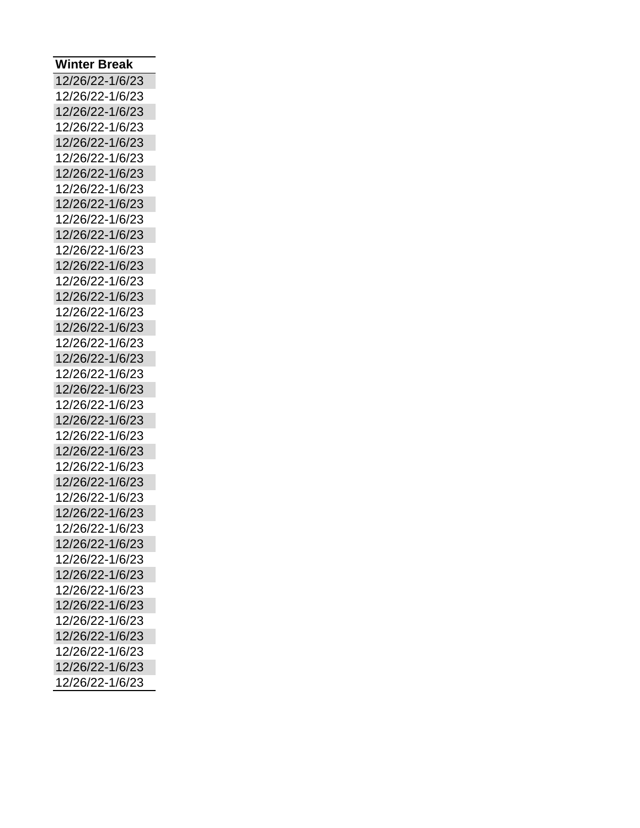| Winter Break    |
|-----------------|
| 12/26/22-1/6/23 |
| 12/26/22-1/6/23 |
| 12/26/22-1/6/23 |
| 12/26/22-1/6/23 |
| 12/26/22-1/6/23 |
| 12/26/22-1/6/23 |
| 12/26/22-1/6/23 |
| 12/26/22-1/6/23 |
| 12/26/22-1/6/23 |
| 12/26/22-1/6/23 |
| 12/26/22-1/6/23 |
| 12/26/22-1/6/23 |
| 12/26/22-1/6/23 |
| 12/26/22-1/6/23 |
| 12/26/22-1/6/23 |
| 12/26/22-1/6/23 |
| 12/26/22-1/6/23 |
| 12/26/22-1/6/23 |
| 12/26/22-1/6/23 |
| 12/26/22-1/6/23 |
| 12/26/22-1/6/23 |
| 12/26/22-1/6/23 |
| 12/26/22-1/6/23 |
| 12/26/22-1/6/23 |
| 12/26/22-1/6/23 |
| 12/26/22-1/6/23 |
| 12/26/22-1/6/23 |
| 12/26/22-1/6/23 |
| 12/26/22-1/6/23 |
| 12/26/22-1/6/23 |
| 12/26/22-1/6/23 |
| 12/26/22-1/6/23 |
| 12/26/22-1/6/23 |
| 12/26/22-1/6/23 |
| 12/26/22-1/6/23 |
| 12/26/22-1/6/23 |
| 12/26/22-1/6/23 |
| 12/26/22-1/6/23 |
| 12/26/22-1/6/23 |
| 12/26/22-1/6/23 |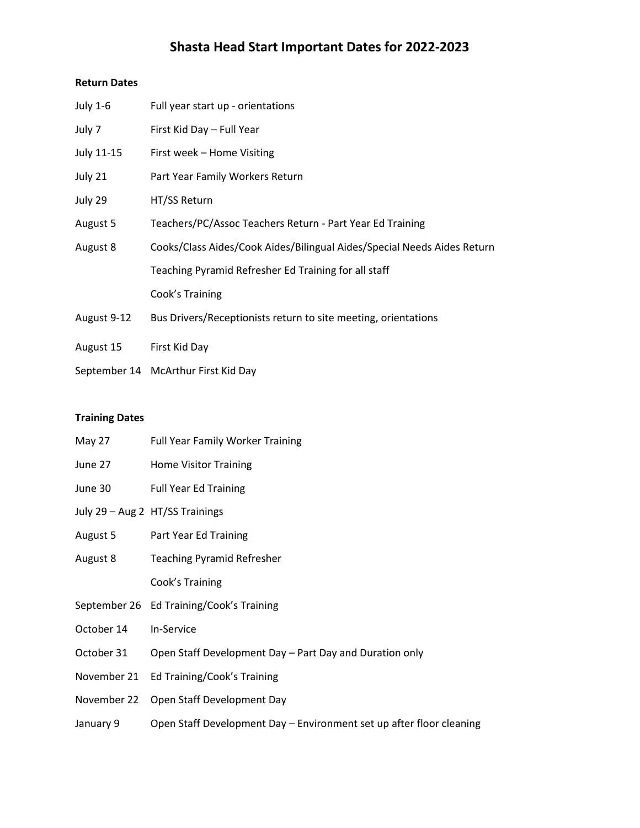### **Shasta Head Start Important Dates for 2022-2023**

#### **Return Dates**

| July 1-6    | Full year start up - orientations                                       |
|-------------|-------------------------------------------------------------------------|
| July 7      | First Kid Day - Full Year                                               |
| July 11-15  | First week - Home Visiting                                              |
| July 21     | Part Year Family Workers Return                                         |
| July 29     | HT/SS Return                                                            |
| August 5    | Teachers/PC/Assoc Teachers Return - Part Year Ed Training               |
| August 8    | Cooks/Class Aides/Cook Aides/Bilingual Aides/Special Needs Aides Return |
|             | Teaching Pyramid Refresher Ed Training for all staff                    |
|             | Cook's Training                                                         |
| August 9-12 | Bus Drivers/Receptionists return to site meeting, orientations          |
| August 15   | First Kid Day                                                           |

September 14 McArthur First Kid Day

#### **Training Dates**

| May 27      | <b>Full Year Family Worker Training</b>                              |
|-------------|----------------------------------------------------------------------|
| June 27     | <b>Home Visitor Training</b>                                         |
| June 30     | <b>Full Year Ed Training</b>                                         |
|             | July 29 - Aug 2 HT/SS Trainings                                      |
| August 5    | Part Year Ed Training                                                |
| August 8    | <b>Teaching Pyramid Refresher</b>                                    |
|             | Cook's Training                                                      |
|             | September 26 Ed Training/Cook's Training                             |
| October 14  | In-Service                                                           |
| October 31  | Open Staff Development Day – Part Day and Duration only              |
| November 21 | Ed Training/Cook's Training                                          |
| November 22 | Open Staff Development Day                                           |
| January 9   | Open Staff Development Day – Environment set up after floor cleaning |